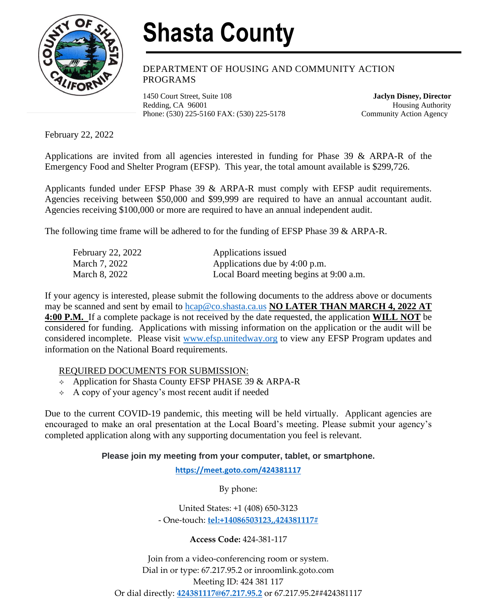

## **Shasta County**

DEPARTMENT OF HOUSING AND COMMUNITY ACTION PROGRAMS

1450 Court Street, Suite 108 **Jaclyn Disney, Director** Redding, CA 96001 **Housing Authority** Phone: (530) 225-5160 FAX: (530) 225-5178 Community Action Agency

February 22, 2022

Applications are invited from all agencies interested in funding for Phase 39 & ARPA-R of the Emergency Food and Shelter Program (EFSP). This year, the total amount available is \$299,726.

Applicants funded under EFSP Phase 39 & ARPA-R must comply with EFSP audit requirements. Agencies receiving between \$50,000 and \$99,999 are required to have an annual accountant audit. Agencies receiving \$100,000 or more are required to have an annual independent audit.

The following time frame will be adhered to for the funding of EFSP Phase 39 & ARPA-R.

| February 22, 2022 | Applications issued                     |
|-------------------|-----------------------------------------|
| March 7, 2022     | Applications due by 4:00 p.m.           |
| March 8, 2022     | Local Board meeting begins at 9:00 a.m. |

If your agency is interested, please submit the following documents to the address above or documents may be scanned and sent by email to [hcap@co.shasta.ca.us](mailto:hcap@co.shasta.ca.us) **NO LATER THAN MARCH 4, 2022 AT 4:00 P.M.** If a complete package is not received by the date requested, the application **WILL NOT** be considered for funding. Applications with missing information on the application or the audit will be considered incomplete. Please visit [www.efsp.unitedway.org](http://www.efsp.unitedway.org/) to view any EFSP Program updates and information on the National Board requirements.

## REQUIRED DOCUMENTS FOR SUBMISSION:

- $\leftrightarrow$  Application for Shasta County EFSP PHASE 39 & ARPA-R
- $\leftrightarrow$  A copy of your agency's most recent audit if needed

Due to the current COVID-19 pandemic, this meeting will be held virtually. Applicant agencies are encouraged to make an oral presentation at the Local Board's meeting. Please submit your agency's completed application along with any supporting documentation you feel is relevant.

## **Please join my meeting from your computer, tablet, or smartphone.**

**<https://meet.goto.com/424381117>**

By phone:

United States: +1 (408) 650-3123 - One-touch: **[tel:+14086503123,,424381117#](tel:+14086503123,,424381117)**

**Access Code:** 424-381-117

Join from a video-conferencing room or system. Dial in or type: 67.217.95.2 or inroomlink.goto.com Meeting ID: 424 381 117 Or dial directly: **[424381117@67.217.95.2](mailto:424381117@67.217.95.2)** or 67.217.95.2##424381117